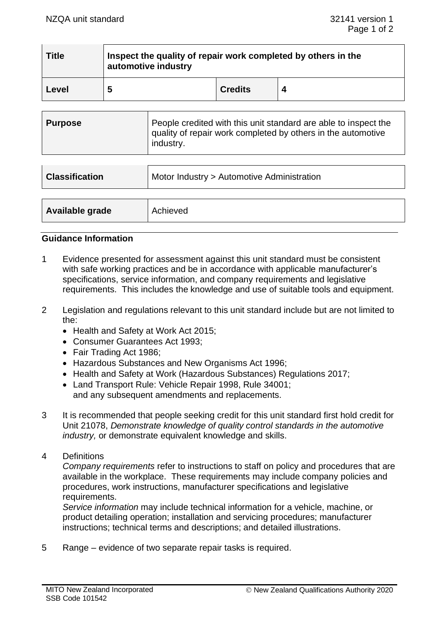| <b>Title</b> | Inspect the quality of repair work completed by others in the<br>automotive industry |                |  |
|--------------|--------------------------------------------------------------------------------------|----------------|--|
| Level        | ა                                                                                    | <b>Credits</b> |  |

| Purpose | People credited with this unit standard are able to inspect the<br>quality of repair work completed by others in the automotive<br>industry. |
|---------|----------------------------------------------------------------------------------------------------------------------------------------------|
|---------|----------------------------------------------------------------------------------------------------------------------------------------------|

| <b>Classification</b> | Motor Industry > Automotive Administration |
|-----------------------|--------------------------------------------|
| Available grade       | Achieved                                   |

### **Guidance Information**

- 1 Evidence presented for assessment against this unit standard must be consistent with safe working practices and be in accordance with applicable manufacturer's specifications, service information, and company requirements and legislative requirements. This includes the knowledge and use of suitable tools and equipment.
- 2 Legislation and regulations relevant to this unit standard include but are not limited to the:
	- Health and Safety at Work Act 2015;
	- Consumer Guarantees Act 1993;
	- Fair Trading Act 1986;
	- Hazardous Substances and New Organisms Act 1996;
	- Health and Safety at Work (Hazardous Substances) Regulations 2017;
	- Land Transport Rule: Vehicle Repair 1998, Rule 34001; and any subsequent amendments and replacements.
- 3 It is recommended that people seeking credit for this unit standard first hold credit for Unit 21078, *Demonstrate knowledge of quality control standards in the automotive industry,* or demonstrate equivalent knowledge and skills.
- 4 Definitions

*Company requirements* refer to instructions to staff on policy and procedures that are available in the workplace. These requirements may include company policies and procedures, work instructions, manufacturer specifications and legislative requirements.

*Service information* may include technical information for a vehicle, machine, or product detailing operation; installation and servicing procedures; manufacturer instructions; technical terms and descriptions; and detailed illustrations.

5 Range – evidence of two separate repair tasks is required.